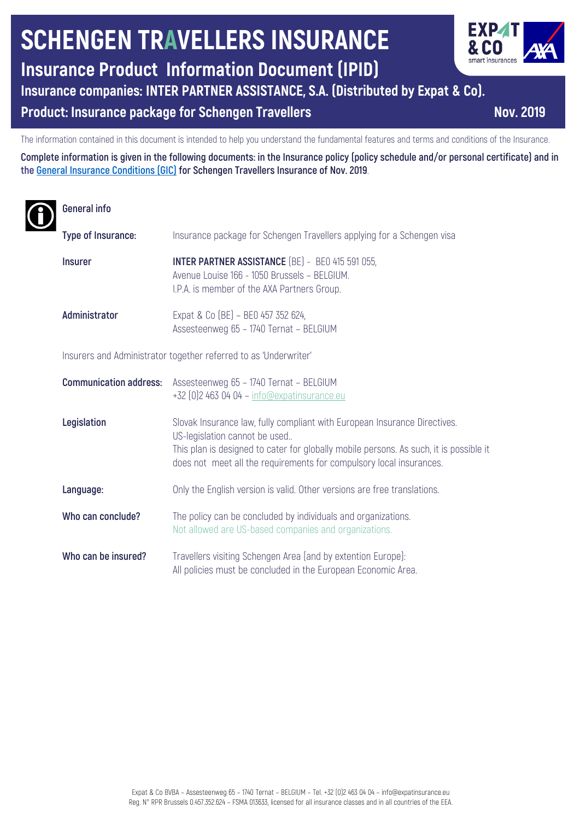# **SCHENGEN TRAVELLERS INSURANCE**

## **Insurance Product Information Document (IPID)**

### **Insurance companies: INTER PARTNER ASSISTANCE, S.A. (Distributed by Expat & Co).**

#### **Product: Insurance package for Schengen Travellers Nov. 2019**

The information contained in this document is intended to help you understand the fundamental features and terms and conditions of the Insurance.

**Complete information is given in the following documents: in the Insurance policy (policy schedule and/or personal certificate) and in the General Insurance Conditions (GIC) for Schengen Travellers Insurance of Nov. 2019**.

## **General info**

| Type of Insurance:                                               | Insurance package for Schengen Travellers applying for a Schengen visa                                                                                                                                                                                                      |
|------------------------------------------------------------------|-----------------------------------------------------------------------------------------------------------------------------------------------------------------------------------------------------------------------------------------------------------------------------|
| <b>Insurer</b>                                                   | <b>INTER PARTNER ASSISTANCE</b> (BE) - BE0 415 591 055,<br>Avenue Louise 166 - 1050 Brussels - BELGIUM.<br>I.P.A. is member of the AXA Partners Group.                                                                                                                      |
| Administrator                                                    | Expat & Co (BE) - BE0 457 352 624,<br>Assesteenweg 65 - 1740 Ternat - BELGIUM                                                                                                                                                                                               |
| Insurers and Administrator together referred to as 'Underwriter' |                                                                                                                                                                                                                                                                             |
| <b>Communication address:</b>                                    | Assesteenweg 65 - 1740 Ternat - BELGIUM<br>+32 [0] 2 463 04 04 - info@expatinsurance.eu                                                                                                                                                                                     |
| Legislation                                                      | Slovak Insurance law, fully compliant with European Insurance Directives.<br>US-legislation cannot be used<br>This plan is designed to cater for globally mobile persons. As such, it is possible it<br>does not meet all the requirements for compulsory local insurances. |
| Language:                                                        | Only the English version is valid. Other versions are free translations.                                                                                                                                                                                                    |
| Who can conclude?                                                | The policy can be concluded by individuals and organizations.<br>Not allowed are US-based companies and organizations.                                                                                                                                                      |
| Who can be insured?                                              | Travellers visiting Schengen Area (and by extention Europe):<br>All policies must be concluded in the European Economic Area.                                                                                                                                               |

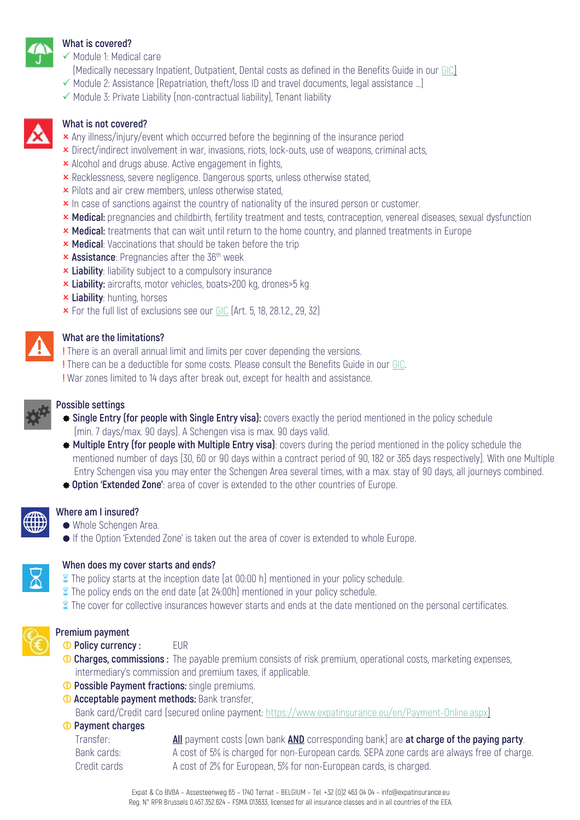

#### **What is covered?**

- $\checkmark$  Module 1: Medical care
- (Medically necessary Inpatient, Outpatient, Dental costs as defined in the Benefits Guide in our GIC)
- $\checkmark$  Module 2: Assistance (Repatriation, theft/loss ID and travel documents, legal assistance ...)
- $\checkmark$  Module 3: Private Liability (non-contractual liability), Tenant liability



#### **What is not covered?**

- $\times$  Any illness/injury/event which occurred before the beginning of the insurance period
- **x** Direct/indirect involvement in war, invasions, riots, lock-outs, use of weapons, criminal acts,
- **x** Alcohol and drugs abuse. Active engagement in fights,
- **x** Recklessness, severe negligence. Dangerous sports, unless otherwise stated,
- **x** Pilots and air crew members, unless otherwise stated,
- **x** In case of sanctions against the country of nationality of the insured person or customer.
- **x Medical:** pregnancies and childbirth, fertility treatment and tests, contraception, venereal diseases, sexual dysfunction
- **× Medical:** treatments that can wait until return to the home country, and planned treatments in Europe
- **x Medical:** Vaccinations that should be taken before the trip
- **x Assistance**: Pregnancies after the 36<sup>th</sup> week
- **x Liability**: liability subject to a compulsory insurance
- **x Liability:** aircrafts, motor vehicles, boats>200 kg, drones>5 kg
- **k** Liability: hunting, horses
- $\times$  For the full list of exclusions see our GIC (Art. 5, 18, 28.1.2., 29, 32)

#### **What are the limitations?**

**!** There is an overall annual limit and limits per cover depending the versions.

- **!** There can be a deductible for some costs. Please consult the Benefits Guide in our GIC.
- **!** War zones limited to 14 days after break out, except for health and assistance.



#### **Possible settings**

- $\bullet$  **Single Entry (for people with Single Entry visa):** covers exactly the period mentioned in the policy schedule (min. 7 days/max. 90 days). A Schengen visa is max. 90 days valid.
- ] **Multiple Entry (for people with Multiple Entry visa)**: covers during the period mentioned in the policy schedule the mentioned number of days (30, 60 or 90 days within a contract period of 90, 182 or 365 days respectively). With one Multiple Entry Schengen visa you may enter the Schengen Area several times, with a max. stay of 90 days, all journeys combined.
- $\triangle$  **Option 'Extended Zone'**: area of cover is extended to the other countries of Europe.



## **Where am I insured?**

- Whole Schengen Area.
- If the Option 'Extended Zone' is taken out the area of cover is extended to whole Europe.



#### **When does my cover starts and ends?**

- **8** The policy starts at the inception date (at 00:00 h) mentioned in your policy schedule.
- **8** The policy ends on the end date (at 24:00h) mentioned in your policy schedule.
- $\bar{z}$  The cover for collective insurances however starts and ends at the date mentioned on the personal certificates.



#### **Premium payment**

*O* Policy currency : EUR

- **Charges, commissions :** The payable premium consists of risk premium, operational costs, marketing expenses, intermediary's commission and premium taxes, if applicable.
- *O* Possible Payment fractions: single premiums.
- *Acceptable payment methods: Bank transfer,*

Bank card/Credit card (secured online payment: https://www.expatinsurance.eu/en/Payment-Online.aspx)

#### **Payment charges**

 Transfer: **All** payment costs (own bank **AND** corresponding bank) are **at charge of the paying party**. Bank cards: A cost of 5% is charged for non-European cards. SEPA zone cards are always free of charge. Credit cards A cost of 2% for European, 5% for non-European cards, is charged.